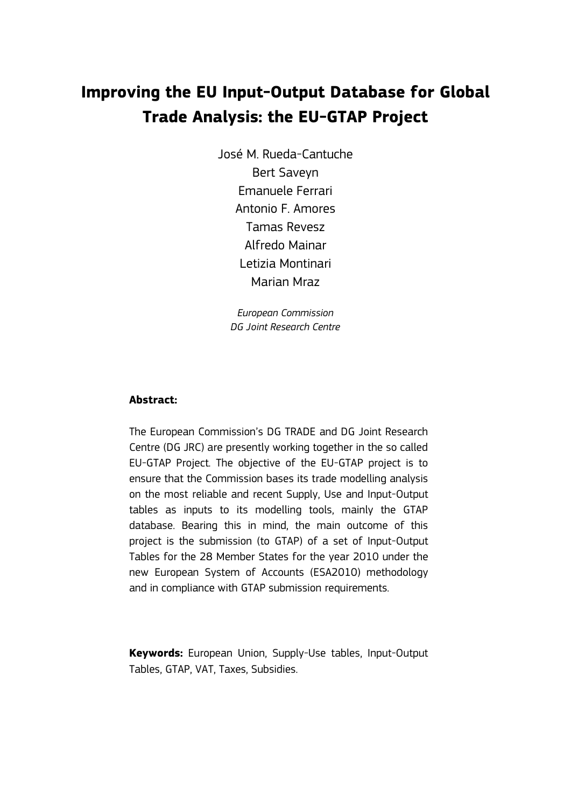# **Improving the EU Input-Output Database for Global Trade Analysis: the EU-GTAP Project**

José M. Rueda-Cantuche Bert Saveyn Emanuele Ferrari Antonio F. Amores Tamas Revesz Alfredo Mainar Letizia Montinari Marian Mraz

*European Commission DG Joint Research Centre* 

# **Abstract:**

The European Commission's DG TRADE and DG Joint Research Centre (DG JRC) are presently working together in the so called EU-GTAP Project. The objective of the EU-GTAP project is to ensure that the Commission bases its trade modelling analysis on the most reliable and recent Supply, Use and Input-Output tables as inputs to its modelling tools, mainly the GTAP database. Bearing this in mind, the main outcome of this project is the submission (to GTAP) of a set of Input-Output Tables for the 28 Member States for the year 2010 under the new European System of Accounts (ESA2010) methodology and in compliance with GTAP submission requirements.

**Keywords:** European Union, Supply-Use tables, Input-Output Tables, GTAP, VAT, Taxes, Subsidies.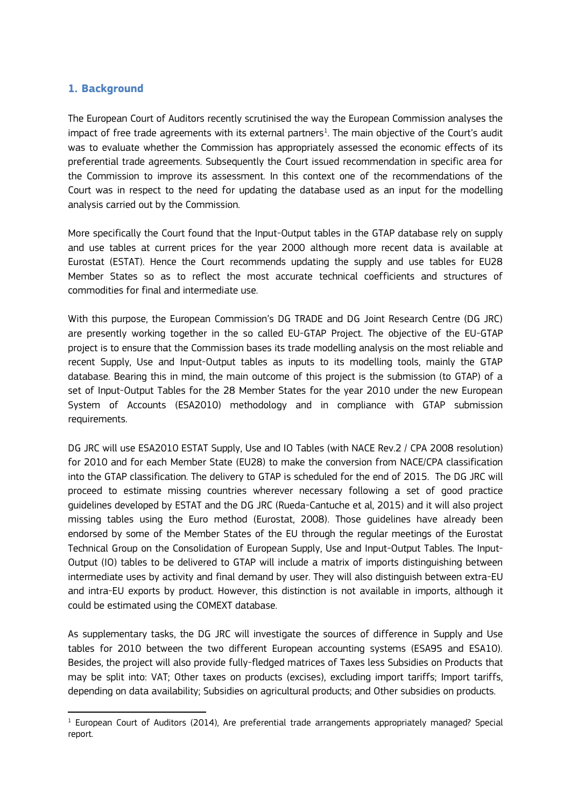# **1. Background**

 $\overline{a}$ 

The European Court of Auditors recently scrutinised the way the European Commission analyses the impact of free trade agreements with its external partners $^1$ . The main objective of the Court's audit was to evaluate whether the Commission has appropriately assessed the economic effects of its preferential trade agreements. Subsequently the Court issued recommendation in specific area for the Commission to improve its assessment. In this context one of the recommendations of the Court was in respect to the need for updating the database used as an input for the modelling analysis carried out by the Commission.

More specifically the Court found that the Input-Output tables in the GTAP database rely on supply and use tables at current prices for the year 2000 although more recent data is available at Eurostat (ESTAT). Hence the Court recommends updating the supply and use tables for EU28 Member States so as to reflect the most accurate technical coefficients and structures of commodities for final and intermediate use.

With this purpose, the European Commission's DG TRADE and DG Joint Research Centre (DG JRC) are presently working together in the so called EU-GTAP Project. The objective of the EU-GTAP project is to ensure that the Commission bases its trade modelling analysis on the most reliable and recent Supply, Use and Input-Output tables as inputs to its modelling tools, mainly the GTAP database. Bearing this in mind, the main outcome of this project is the submission (to GTAP) of a set of Input-Output Tables for the 28 Member States for the year 2010 under the new European System of Accounts (ESA2010) methodology and in compliance with GTAP submission requirements.

DG JRC will use ESA2010 ESTAT Supply, Use and IO Tables (with NACE Rev.2 / CPA 2008 resolution) for 2010 and for each Member State (EU28) to make the conversion from NACE/CPA classification into the GTAP classification. The delivery to GTAP is scheduled for the end of 2015. The DG JRC will proceed to estimate missing countries wherever necessary following a set of good practice guidelines developed by ESTAT and the DG JRC (Rueda-Cantuche et al, 2015) and it will also project missing tables using the Euro method (Eurostat, 2008). Those guidelines have already been endorsed by some of the Member States of the EU through the regular meetings of the Eurostat Technical Group on the Consolidation of European Supply, Use and Input-Output Tables. The Input-Output (IO) tables to be delivered to GTAP will include a matrix of imports distinguishing between intermediate uses by activity and final demand by user. They will also distinguish between extra-EU and intra-EU exports by product. However, this distinction is not available in imports, although it could be estimated using the COMEXT database.

As supplementary tasks, the DG JRC will investigate the sources of difference in Supply and Use tables for 2010 between the two different European accounting systems (ESA95 and ESA10). Besides, the project will also provide fully-fledged matrices of Taxes less Subsidies on Products that may be split into: VAT; Other taxes on products (excises), excluding import tariffs; Import tariffs, depending on data availability; Subsidies on agricultural products; and Other subsidies on products.

 $1$  European Court of Auditors (2014), Are preferential trade arrangements appropriately managed? Special report.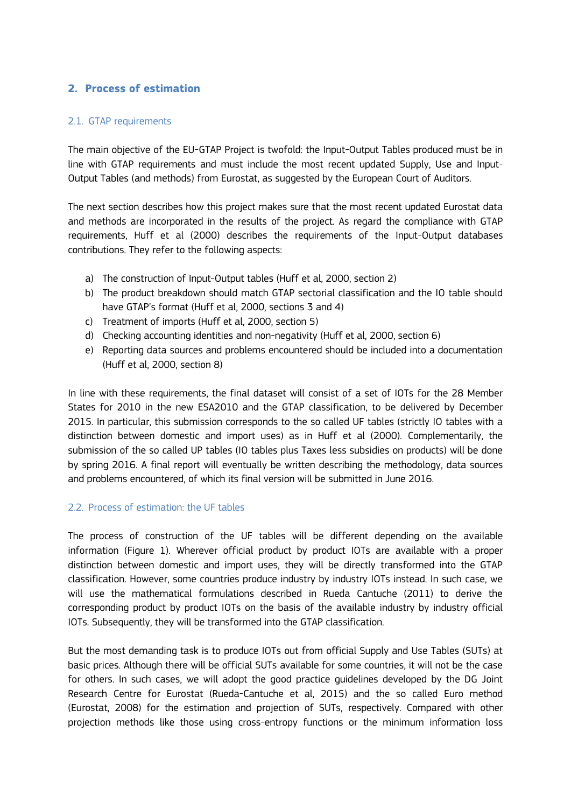# **2. Process of estimation**

## 2.1. GTAP requirements

The main objective of the EU-GTAP Project is twofold: the Input-Output Tables produced must be in line with GTAP requirements and must include the most recent updated Supply, Use and Input-Output Tables (and methods) from Eurostat, as suggested by the European Court of Auditors.

The next section describes how this project makes sure that the most recent updated Eurostat data and methods are incorporated in the results of the project. As regard the compliance with GTAP requirements, Huff et al (2000) describes the requirements of the Input-Output databases contributions. They refer to the following aspects:

- a) The construction of Input-Output tables (Huff et al, 2000, section 2)
- b) The product breakdown should match GTAP sectorial classification and the IO table should have GTAP's format (Huff et al, 2000, sections 3 and 4)
- c) Treatment of imports (Huff et al, 2000, section 5)
- d) Checking accounting identities and non-negativity (Huff et al, 2000, section 6)
- e) Reporting data sources and problems encountered should be included into a documentation (Huff et al, 2000, section 8)

In line with these requirements, the final dataset will consist of a set of IOTs for the 28 Member States for 2010 in the new ESA2010 and the GTAP classification, to be delivered by December 2015. In particular, this submission corresponds to the so called UF tables (strictly IO tables with a distinction between domestic and import uses) as in Huff et al (2000). Complementarily, the submission of the so called UP tables (IO tables plus Taxes less subsidies on products) will be done by spring 2016. A final report will eventually be written describing the methodology, data sources and problems encountered, of which its final version will be submitted in June 2016.

# 2.2. Process of estimation: the UF tables

The process of construction of the UF tables will be different depending on the available information (Figure 1). Wherever official product by product IOTs are available with a proper distinction between domestic and import uses, they will be directly transformed into the GTAP classification. However, some countries produce industry by industry IOTs instead. In such case, we will use the mathematical formulations described in Rueda Cantuche (2011) to derive the corresponding product by product IOTs on the basis of the available industry by industry official IOTs. Subsequently, they will be transformed into the GTAP classification.

But the most demanding task is to produce IOTs out from official Supply and Use Tables (SUTs) at basic prices. Although there will be official SUTs available for some countries, it will not be the case for others. In such cases, we will adopt the good practice guidelines developed by the DG Joint Research Centre for Eurostat (Rueda-Cantuche et al, 2015) and the so called Euro method (Eurostat, 2008) for the estimation and projection of SUTs, respectively. Compared with other projection methods like those using cross-entropy functions or the minimum information loss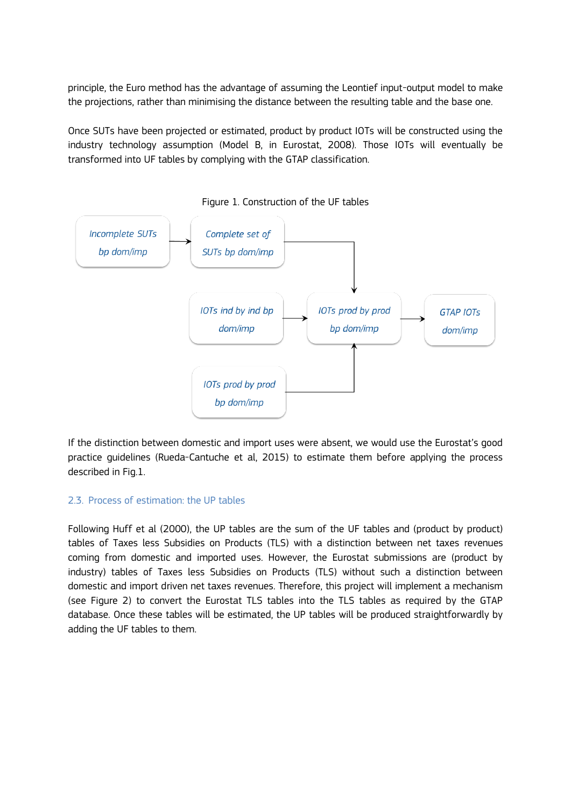principle, the Euro method has the advantage of assuming the Leontief input-output model to make the projections, rather than minimising the distance between the resulting table and the base one.

Once SUTs have been projected or estimated, product by product IOTs will be constructed using the industry technology assumption (Model B, in Eurostat, 2008). Those IOTs will eventually be transformed into UF tables by complying with the GTAP classification.



Figure 1. Construction of the UF tables

If the distinction between domestic and import uses were absent, we would use the Eurostat's good practice guidelines (Rueda-Cantuche et al, 2015) to estimate them before applying the process described in Fig.1.

#### 2.3. Process of estimation: the UP tables

Following Huff et al (2000), the UP tables are the sum of the UF tables and (product by product) tables of Taxes less Subsidies on Products (TLS) with a distinction between net taxes revenues coming from domestic and imported uses. However, the Eurostat submissions are (product by industry) tables of Taxes less Subsidies on Products (TLS) without such a distinction between domestic and import driven net taxes revenues. Therefore, this project will implement a mechanism (see Figure 2) to convert the Eurostat TLS tables into the TLS tables as required by the GTAP database. Once these tables will be estimated, the UP tables will be produced straightforwardly by adding the UF tables to them.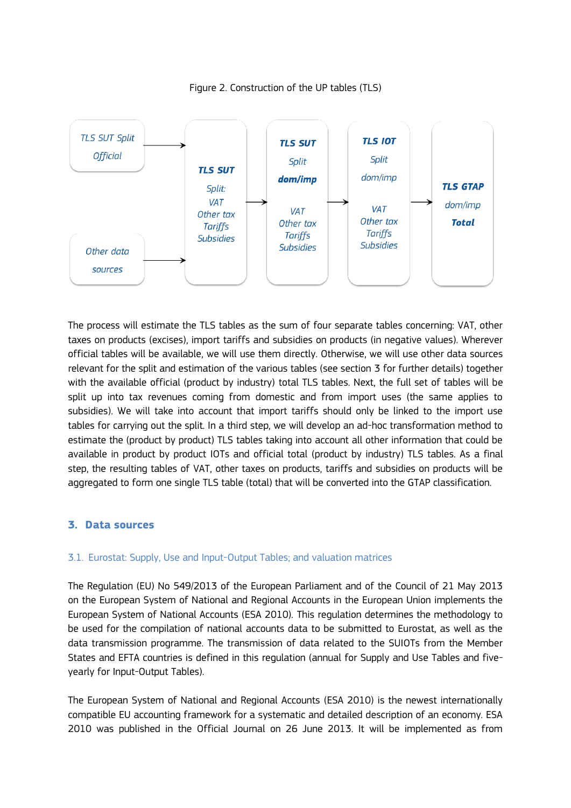

Figure 2. Construction of the UP tables (TLS)

The process will estimate the TLS tables as the sum of four separate tables concerning: VAT, other taxes on products (excises), import tariffs and subsidies on products (in negative values). Wherever official tables will be available, we will use them directly. Otherwise, we will use other data sources relevant for the split and estimation of the various tables (see section 3 for further details) together with the available official (product by industry) total TLS tables. Next, the full set of tables will be split up into tax revenues coming from domestic and from import uses (the same applies to subsidies). We will take into account that import tariffs should only be linked to the import use tables for carrying out the split. In a third step, we will develop an ad-hoc transformation method to estimate the (product by product) TLS tables taking into account all other information that could be available in product by product IOTs and official total (product by industry) TLS tables. As a final step, the resulting tables of VAT, other taxes on products, tariffs and subsidies on products will be aggregated to form one single TLS table (total) that will be converted into the GTAP classification.

# **3. Data sources**

#### 3.1. Eurostat: Supply, Use and Input-Output Tables; and valuation matrices

The Regulation (EU) No 549/2013 of the European Parliament and of the Council of 21 May 2013 on the European System of National and Regional Accounts in the European Union implements the European System of National Accounts (ESA 2010). This regulation determines the methodology to be used for the compilation of national accounts data to be submitted to Eurostat, as well as the data transmission programme. The transmission of data related to the SUIOTs from the Member States and EFTA countries is defined in this regulation (annual for Supply and Use Tables and fiveyearly for Input-Output Tables).

The European System of National and Regional Accounts (ESA 2010) is the newest internationally compatible EU accounting framework for a systematic and detailed description of an economy. ESA 2010 was published in the Official Journal on 26 June 2013. It will be implemented as from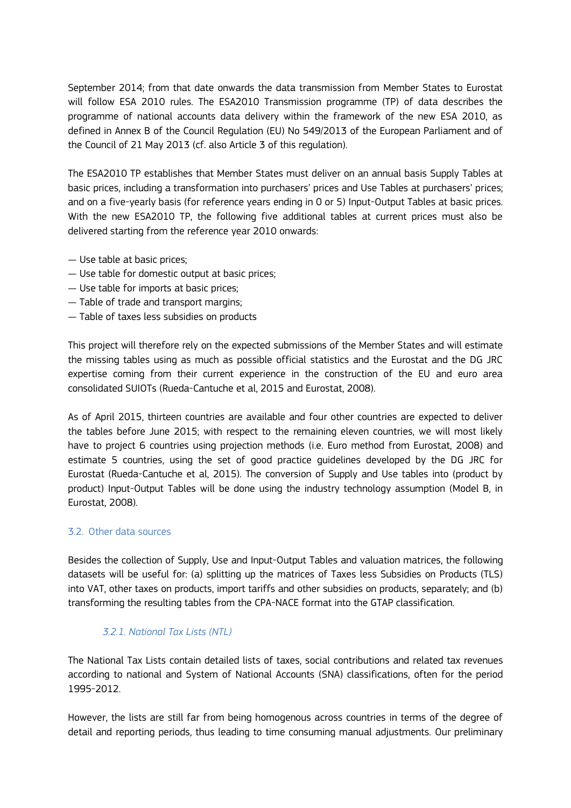September 2014; from that date onwards the data transmission from Member States to Eurostat will follow ESA 2010 rules. The ESA2010 Transmission programme (TP) of data describes the programme of national accounts data delivery within the framework of the new ESA 2010, as defined in Annex B of the Council Regulation (EU) No 549/2013 of the European Parliament and of the Council of 21 May 2013 (cf. also Article 3 of this regulation).

The ESA2010 TP establishes that Member States must deliver on an annual basis Supply Tables at basic prices, including a transformation into purchasers' prices and Use Tables at purchasers' prices; and on a five-yearly basis (for reference years ending in 0 or 5) Input-Output Tables at basic prices. With the new ESA2010 TP, the following five additional tables at current prices must also be delivered starting from the reference year 2010 onwards:

- Use table at basic prices;
- Use table for domestic output at basic prices;
- Use table for imports at basic prices;
- Table of trade and transport margins;
- Table of taxes less subsidies on products

This project will therefore rely on the expected submissions of the Member States and will estimate the missing tables using as much as possible official statistics and the Eurostat and the DG JRC expertise coming from their current experience in the construction of the EU and euro area consolidated SUIOTs (Rueda-Cantuche et al, 2015 and Eurostat, 2008).

As of April 2015, thirteen countries are available and four other countries are expected to deliver the tables before June 2015; with respect to the remaining eleven countries, we will most likely have to project 6 countries using projection methods (i.e. Euro method from Eurostat, 2008) and estimate 5 countries, using the set of good practice guidelines developed by the DG JRC for Eurostat (Rueda-Cantuche et al, 2015). The conversion of Supply and Use tables into (product by product) Input-Output Tables will be done using the industry technology assumption (Model B, in Eurostat, 2008).

#### 3.2. Other data sources

Besides the collection of Supply, Use and Input-Output Tables and valuation matrices, the following datasets will be useful for: (a) splitting up the matrices of Taxes less Subsidies on Products (TLS) into VAT, other taxes on products, import tariffs and other subsidies on products, separately; and (b) transforming the resulting tables from the CPA-NACE format into the GTAP classification.

# *3.2.1. National Tax Lists (NTL)*

The National Tax Lists contain detailed lists of taxes, social contributions and related tax revenues according to national and System of National Accounts (SNA) classifications, often for the period 1995-2012.

However, the lists are still far from being homogenous across countries in terms of the degree of detail and reporting periods, thus leading to time consuming manual adjustments. Our preliminary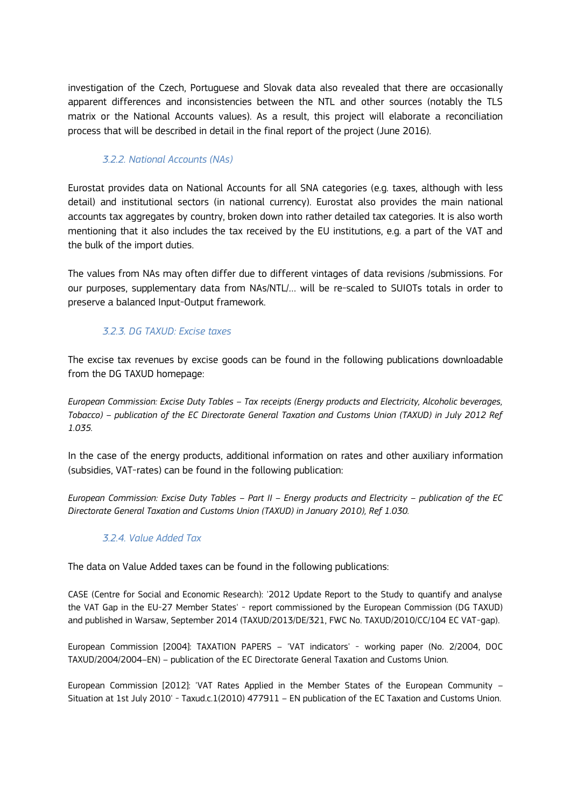investigation of the Czech, Portuguese and Slovak data also revealed that there are occasionally apparent differences and inconsistencies between the NTL and other sources (notably the TLS matrix or the National Accounts values). As a result, this project will elaborate a reconciliation process that will be described in detail in the final report of the project (June 2016).

# *3.2.2. National Accounts (NAs)*

Eurostat provides data on National Accounts for all SNA categories (e.g. taxes, although with less detail) and institutional sectors (in national currency). Eurostat also provides the main national accounts tax aggregates by country, broken down into rather detailed tax categories. It is also worth mentioning that it also includes the tax received by the EU institutions, e.g. a part of the VAT and the bulk of the import duties.

The values from NAs may often differ due to different vintages of data revisions /submissions. For our purposes, supplementary data from NAs/NTL/… will be re-scaled to SUIOTs totals in order to preserve a balanced Input-Output framework.

# *3.2.3. DG TAXUD: Excise taxes*

The excise tax revenues by excise goods can be found in the following publications downloadable from the DG TAXUD homepage:

*European Commission: Excise Duty Tables – Tax receipts (Energy products and Electricity, Alcoholic beverages, Tobacco) – publication of the EC Directorate General Taxation and Customs Union (TAXUD) in July 2012 Ref 1.035.*

In the case of the energy products, additional information on rates and other auxiliary information (subsidies, VAT-rates) can be found in the following publication:

*European Commission: Excise Duty Tables – Part II – Energy products and Electricity – publication of the EC Directorate General Taxation and Customs Union (TAXUD) in January 2010), Ref 1.030.*

# *3.2.4. Value Added Tax*

The data on Value Added taxes can be found in the following publications:

CASE (Centre for Social and Economic Research): '2012 Update Report to the Study to quantify and analyse the VAT Gap in the EU-27 Member States' - report commissioned by the European Commission (DG TAXUD) and published in Warsaw, September 2014 (TAXUD/2013/DE/321, FWC No. TAXUD/2010/CC/104 EC VAT-gap).

European Commission [2004]: TAXATION PAPERS – 'VAT indicators' - working paper (No. 2/2004, DOC TAXUD/2004/2004–EN) – publication of the EC Directorate General Taxation and Customs Union.

European Commission [2012]: 'VAT Rates Applied in the Member States of the European Community – Situation at 1st July 2010' - Taxud.c.1(2010) 477911 – EN publication of the EC Taxation and Customs Union.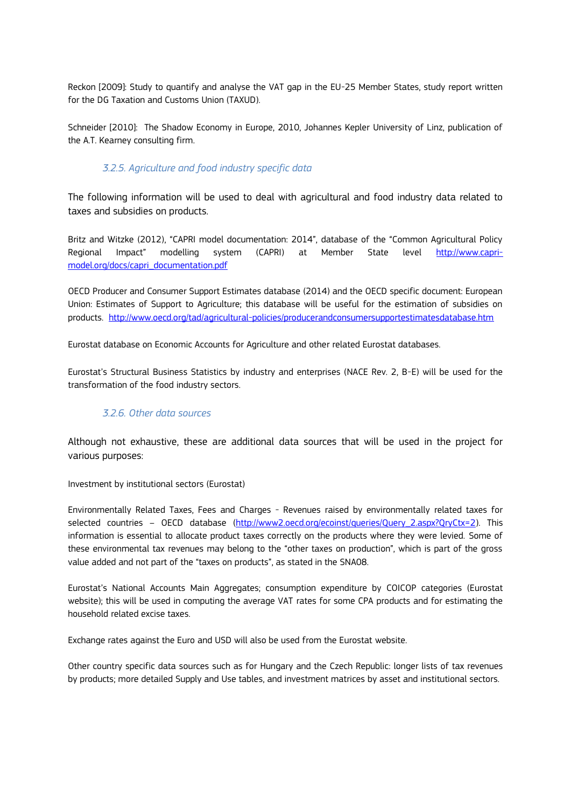Reckon [2009]: Study to quantify and analyse the VAT gap in the EU-25 Member States, study report written for the DG Taxation and Customs Union (TAXUD).

Schneider [2010]: The Shadow Economy in Europe, 2010, Johannes Kepler University of Linz, publication of the A.T. Kearney consulting firm.

## *3.2.5. Agriculture and food industry specific data*

The following information will be used to deal with agricultural and food industry data related to taxes and subsidies on products.

Britz and Witzke (2012), "CAPRI model documentation: 2014", database of the "Common Agricultural Policy Regional Impact" modelling system (CAPRI) at Member State level [http://www.capri](http://www.capri-model.org/docs/capri_documentation.pdf)[model.org/docs/capri\\_documentation.pdf](http://www.capri-model.org/docs/capri_documentation.pdf)

OECD Producer and Consumer Support Estimates database (2014) and the OECD specific document: European Union: Estimates of Support to Agriculture; this database will be useful for the estimation of subsidies on products. <http://www.oecd.org/tad/agricultural-policies/producerandconsumersupportestimatesdatabase.htm>

Eurostat database on Economic Accounts for Agriculture and other related Eurostat databases.

Eurostat's Structural Business Statistics by industry and enterprises (NACE Rev. 2, B-E) will be used for the transformation of the food industry sectors.

# *3.2.6. Other data sources*

Although not exhaustive, these are additional data sources that will be used in the project for various purposes:

Investment by institutional sectors (Eurostat)

Environmentally Related Taxes, Fees and Charges - Revenues raised by environmentally related taxes for selected countries – OECD database [\(http://www2.oecd.org/ecoinst/queries/Query\\_2.aspx?QryCtx=2\)](http://www2.oecd.org/ecoinst/queries/Query_2.aspx?QryCtx=2). This information is essential to allocate product taxes correctly on the products where they were levied. Some of these environmental tax revenues may belong to the "other taxes on production", which is part of the gross value added and not part of the "taxes on products", as stated in the SNA08.

Eurostat's National Accounts Main Aggregates; consumption expenditure by COICOP categories (Eurostat website); this will be used in computing the average VAT rates for some CPA products and for estimating the household related excise taxes.

Exchange rates against the Euro and USD will also be used from the Eurostat website.

Other country specific data sources such as for Hungary and the Czech Republic: longer lists of tax revenues by products; more detailed Supply and Use tables, and investment matrices by asset and institutional sectors.